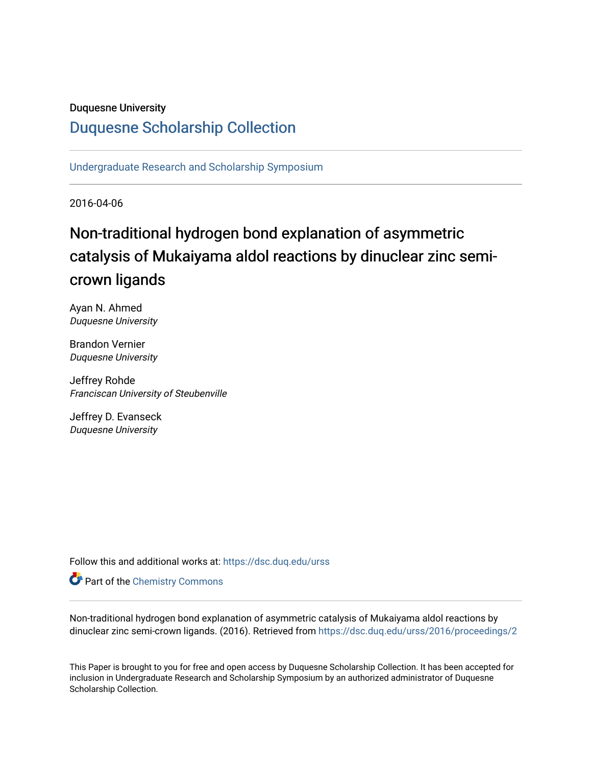## Duquesne University

# [Duquesne Scholarship Collection](https://dsc.duq.edu/)

[Undergraduate Research and Scholarship Symposium](https://dsc.duq.edu/urss)

2016-04-06

# Non-traditional hydrogen bond explanation of asymmetric catalysis of Mukaiyama aldol reactions by dinuclear zinc semicrown ligands

Ayan N. Ahmed Duquesne University

Brandon Vernier Duquesne University

Jeffrey Rohde Franciscan University of Steubenville

Jeffrey D. Evanseck Duquesne University

Follow this and additional works at: [https://dsc.duq.edu/urss](https://dsc.duq.edu/urss?utm_source=dsc.duq.edu%2Furss%2F2016%2Fproceedings%2F2&utm_medium=PDF&utm_campaign=PDFCoverPages)

Part of the [Chemistry Commons](http://network.bepress.com/hgg/discipline/131?utm_source=dsc.duq.edu%2Furss%2F2016%2Fproceedings%2F2&utm_medium=PDF&utm_campaign=PDFCoverPages) 

Non-traditional hydrogen bond explanation of asymmetric catalysis of Mukaiyama aldol reactions by dinuclear zinc semi-crown ligands. (2016). Retrieved from [https://dsc.duq.edu/urss/2016/proceedings/2](https://dsc.duq.edu/urss/2016/proceedings/2?utm_source=dsc.duq.edu%2Furss%2F2016%2Fproceedings%2F2&utm_medium=PDF&utm_campaign=PDFCoverPages) 

This Paper is brought to you for free and open access by Duquesne Scholarship Collection. It has been accepted for inclusion in Undergraduate Research and Scholarship Symposium by an authorized administrator of Duquesne Scholarship Collection.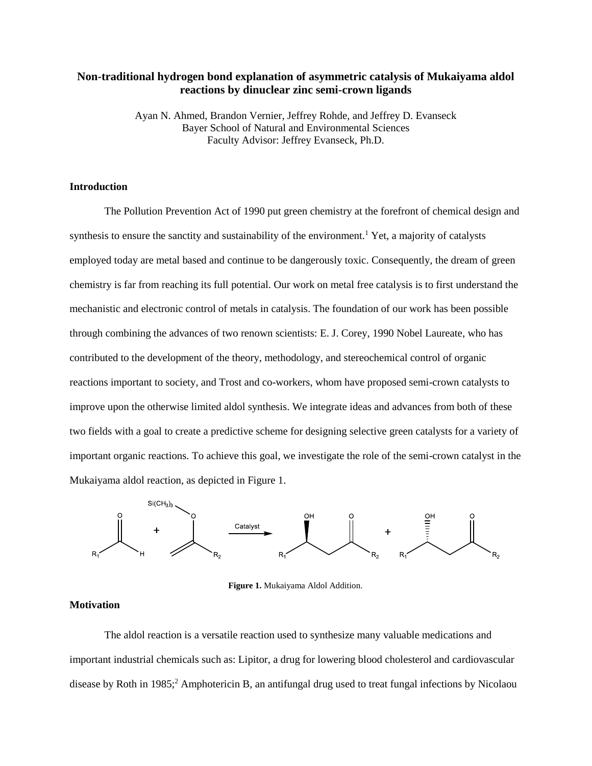### **Non-traditional hydrogen bond explanation of asymmetric catalysis of Mukaiyama aldol reactions by dinuclear zinc semi-crown ligands**

Ayan N. Ahmed, Brandon Vernier, Jeffrey Rohde, and Jeffrey D. Evanseck Bayer School of Natural and Environmental Sciences Faculty Advisor: Jeffrey Evanseck, Ph.D.

#### **Introduction**

The Pollution Prevention Act of 1990 put green chemistry at the forefront of chemical design and synthesis to ensure the sanctity and sustainability of the environment.<sup>1</sup> Yet, a majority of catalysts employed today are metal based and continue to be dangerously toxic. Consequently, the dream of green chemistry is far from reaching its full potential. Our work on metal free catalysis is to first understand the mechanistic and electronic control of metals in catalysis. The foundation of our work has been possible through combining the advances of two renown scientists: E. J. Corey, 1990 Nobel Laureate, who has contributed to the development of the theory, methodology, and stereochemical control of organic reactions important to society, and Trost and co-workers, whom have proposed semi-crown catalysts to improve upon the otherwise limited aldol synthesis. We integrate ideas and advances from both of these two fields with a goal to create a predictive scheme for designing selective green catalysts for a variety of important organic reactions. To achieve this goal, we investigate the role of the semi-crown catalyst in the Mukaiyama aldol reaction, as depicted in Figure 1.



**Figure 1.** Mukaiyama Aldol Addition.

#### **Motivation**

The aldol reaction is a versatile reaction used to synthesize many valuable medications and important industrial chemicals such as: Lipitor, a drug for lowering blood cholesterol and cardiovascular disease by Roth in 1985; <sup>2</sup> Amphotericin B, an antifungal drug used to treat fungal infections by Nicolaou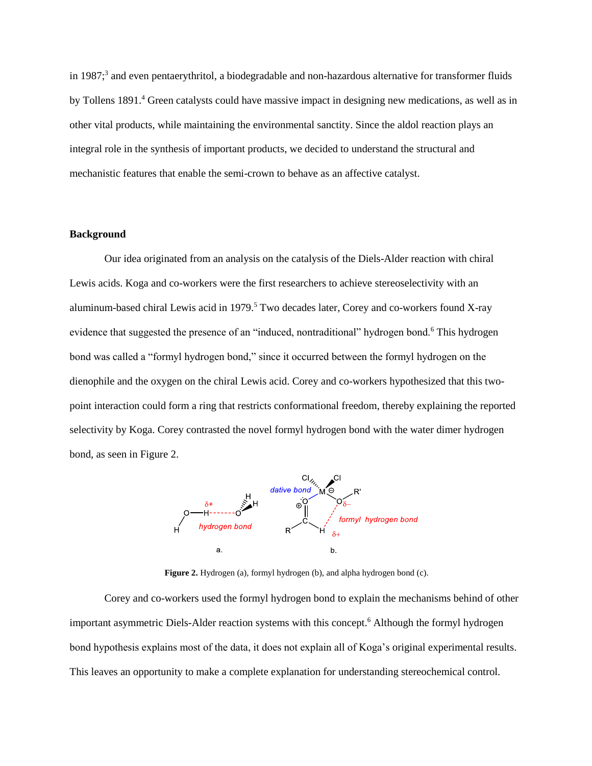in 1987;<sup>3</sup> and even pentaerythritol, a biodegradable and non-hazardous alternative for transformer fluids by Tollens 1891. <sup>4</sup> Green catalysts could have massive impact in designing new medications, as well as in other vital products, while maintaining the environmental sanctity. Since the aldol reaction plays an integral role in the synthesis of important products, we decided to understand the structural and mechanistic features that enable the semi-crown to behave as an affective catalyst.

#### **Background**

Our idea originated from an analysis on the catalysis of the Diels-Alder reaction with chiral Lewis acids. Koga and co-workers were the first researchers to achieve stereoselectivity with an aluminum-based chiral Lewis acid in 1979.<sup>5</sup> Two decades later, Corey and co-workers found X-ray evidence that suggested the presence of an "induced, nontraditional" hydrogen bond.<sup>6</sup> This hydrogen bond was called a "formyl hydrogen bond," since it occurred between the formyl hydrogen on the dienophile and the oxygen on the chiral Lewis acid. Corey and co-workers hypothesized that this twopoint interaction could form a ring that restricts conformational freedom, thereby explaining the reported selectivity by Koga. Corey contrasted the novel formyl hydrogen bond with the water dimer hydrogen bond, as seen in Figure 2.



**Figure 2.** Hydrogen (a), formyl hydrogen (b), and alpha hydrogen bond (c).

Corey and co-workers used the formyl hydrogen bond to explain the mechanisms behind of other important asymmetric Diels-Alder reaction systems with this concept. <sup>6</sup> Although the formyl hydrogen bond hypothesis explains most of the data, it does not explain all of Koga's original experimental results. This leaves an opportunity to make a complete explanation for understanding stereochemical control.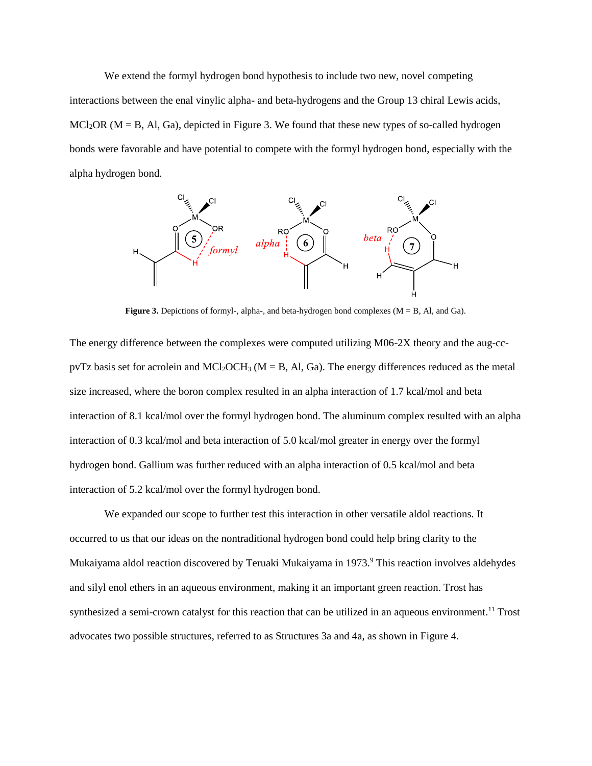We extend the formyl hydrogen bond hypothesis to include two new, novel competing interactions between the enal vinylic alpha*-* and beta*-*hydrogens and the Group 13 chiral Lewis acids,  $MCI_2OR$  ( $M = B$ , Al, Ga), depicted in Figure 3. We found that these new types of so-called hydrogen bonds were favorable and have potential to compete with the formyl hydrogen bond, especially with the alpha hydrogen bond.



**Figure 3.** Depictions of formyl-, alpha-, and beta-hydrogen bond complexes (M = B, Al, and Ga).

The energy difference between the complexes were computed utilizing M06-2X theory and the aug-ccpvTz basis set for acrolein and MCl<sub>2</sub>OCH<sub>3</sub> ( $M = B$ , Al, Ga). The energy differences reduced as the metal size increased, where the boron complex resulted in an alpha interaction of 1.7 kcal/mol and beta interaction of 8.1 kcal/mol over the formyl hydrogen bond. The aluminum complex resulted with an alpha interaction of 0.3 kcal/mol and beta interaction of 5.0 kcal/mol greater in energy over the formyl hydrogen bond. Gallium was further reduced with an alpha interaction of 0.5 kcal/mol and beta interaction of 5.2 kcal/mol over the formyl hydrogen bond.

We expanded our scope to further test this interaction in other versatile aldol reactions. It occurred to us that our ideas on the nontraditional hydrogen bond could help bring clarity to the Mukaiyama aldol reaction discovered by Teruaki Mukaiyama in 1973.<sup>9</sup> This reaction involves aldehydes and silyl enol ethers in an aqueous environment, making it an important green reaction. Trost has synthesized a semi-crown catalyst for this reaction that can be utilized in an aqueous environment.<sup>11</sup> Trost advocates two possible structures, referred to as Structures 3a and 4a, as shown in Figure 4.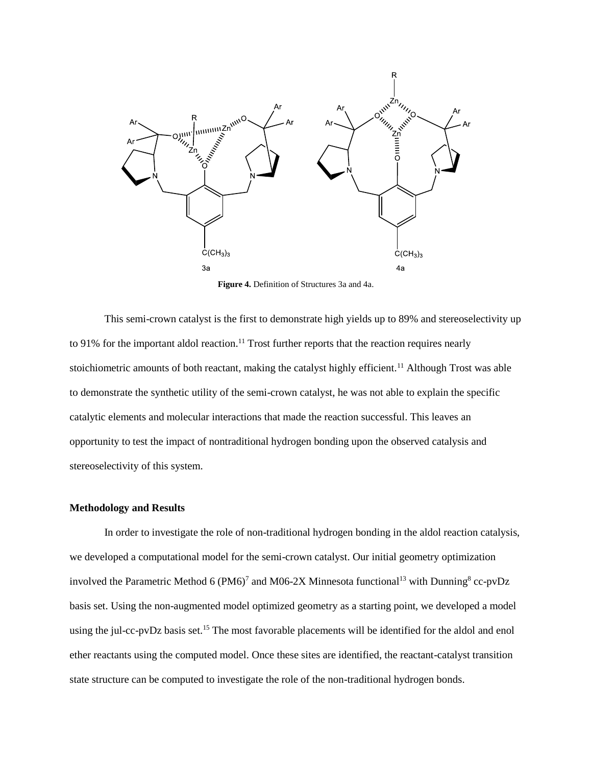

**Figure 4.** Definition of Structures 3a and 4a.

This semi-crown catalyst is the first to demonstrate high yields up to 89% and stereoselectivity up to 91% for the important aldol reaction.<sup>11</sup> Trost further reports that the reaction requires nearly stoichiometric amounts of both reactant, making the catalyst highly efficient.<sup>11</sup> Although Trost was able to demonstrate the synthetic utility of the semi-crown catalyst, he was not able to explain the specific catalytic elements and molecular interactions that made the reaction successful. This leaves an opportunity to test the impact of nontraditional hydrogen bonding upon the observed catalysis and stereoselectivity of this system.

#### **Methodology and Results**

In order to investigate the role of non-traditional hydrogen bonding in the aldol reaction catalysis, we developed a computational model for the semi-crown catalyst. Our initial geometry optimization involved the Parametric Method 6 (PM6)<sup>7</sup> and M06-2X Minnesota functional<sup>13</sup> with Dunning<sup>8</sup> cc-pvDz basis set. Using the non-augmented model optimized geometry as a starting point, we developed a model using the jul-cc-pvDz basis set.<sup>15</sup> The most favorable placements will be identified for the aldol and enol ether reactants using the computed model. Once these sites are identified, the reactant-catalyst transition state structure can be computed to investigate the role of the non-traditional hydrogen bonds.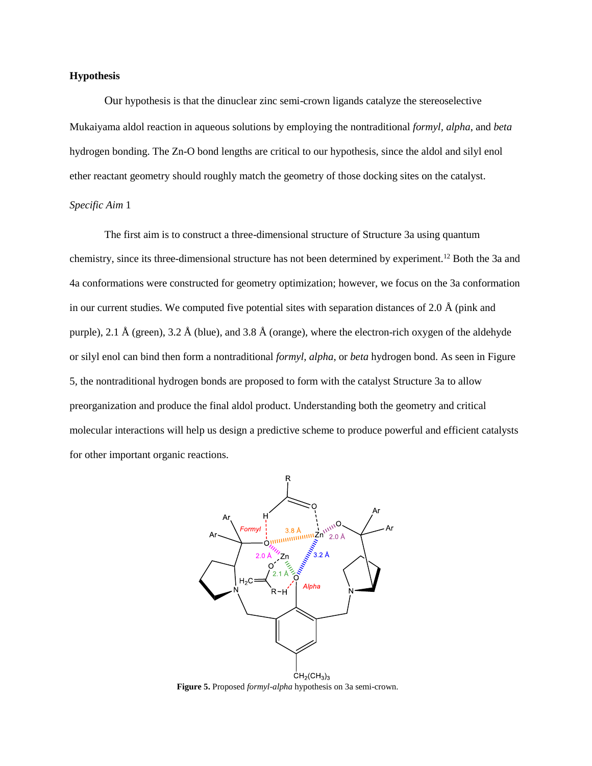#### **Hypothesis**

Our hypothesis is that the dinuclear zinc semi-crown ligands catalyze the stereoselective Mukaiyama aldol reaction in aqueous solutions by employing the nontraditional *formyl, alpha*, and *beta* hydrogen bonding. The Zn-O bond lengths are critical to our hypothesis, since the aldol and silyl enol ether reactant geometry should roughly match the geometry of those docking sites on the catalyst.

#### *Specific Aim* 1

The first aim is to construct a three-dimensional structure of Structure 3a using quantum chemistry, since its three-dimensional structure has not been determined by experiment.<sup>12</sup> Both the 3a and 4a conformations were constructed for geometry optimization; however, we focus on the 3a conformation in our current studies. We computed five potential sites with separation distances of 2.0 Å (pink and purple), 2.1 Å (green), 3.2 Å (blue), and 3.8 Å (orange), where the electron-rich oxygen of the aldehyde or silyl enol can bind then form a nontraditional *formyl, alpha*, or *beta* hydrogen bond. As seen in Figure 5*,* the nontraditional hydrogen bonds are proposed to form with the catalyst Structure 3a to allow preorganization and produce the final aldol product. Understanding both the geometry and critical molecular interactions will help us design a predictive scheme to produce powerful and efficient catalysts for other important organic reactions.



**Figure 5.** Proposed *formyl*-*alpha* hypothesis on 3a semi-crown.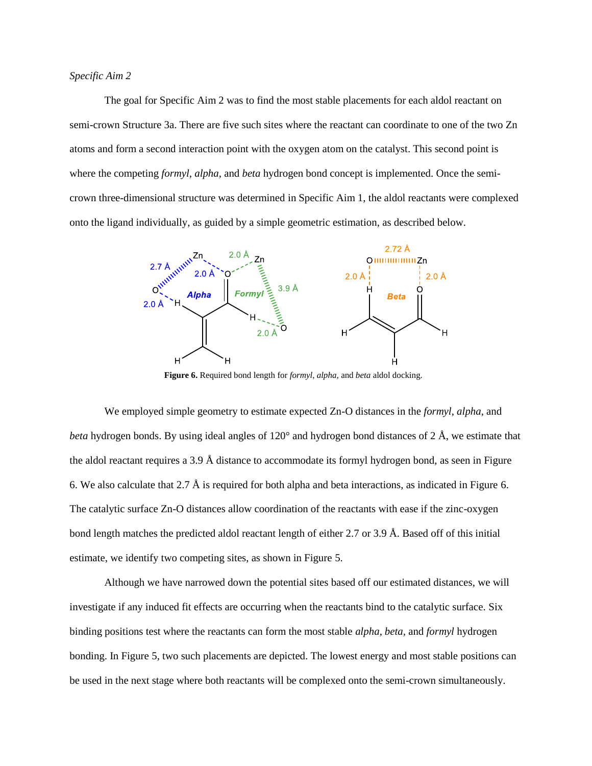The goal for Specific Aim 2 was to find the most stable placements for each aldol reactant on semi-crown Structure 3a. There are five such sites where the reactant can coordinate to one of the two Zn atoms and form a second interaction point with the oxygen atom on the catalyst. This second point is where the competing *formyl, alpha,* and *beta* hydrogen bond concept is implemented. Once the semicrown three-dimensional structure was determined in Specific Aim 1, the aldol reactants were complexed onto the ligand individually, as guided by a simple geometric estimation, as described below.



**Figure 6.** Required bond length for *formyl*, *alpha,* and *beta* aldol docking.

We employed simple geometry to estimate expected Zn-O distances in the *formyl*, *alpha*, and *beta* hydrogen bonds. By using ideal angles of 120° and hydrogen bond distances of 2 Å, we estimate that the aldol reactant requires a 3.9 Å distance to accommodate its formyl hydrogen bond, as seen in Figure 6. We also calculate that 2.7 Å is required for both alpha and beta interactions, as indicated in Figure 6. The catalytic surface Zn-O distances allow coordination of the reactants with ease if the zinc-oxygen bond length matches the predicted aldol reactant length of either 2.7 or 3.9 Å. Based off of this initial estimate, we identify two competing sites, as shown in Figure 5.

Although we have narrowed down the potential sites based off our estimated distances, we will investigate if any induced fit effects are occurring when the reactants bind to the catalytic surface. Six binding positions test where the reactants can form the most stable *alpha, beta,* and *formyl* hydrogen bonding. In Figure 5, two such placements are depicted. The lowest energy and most stable positions can be used in the next stage where both reactants will be complexed onto the semi-crown simultaneously.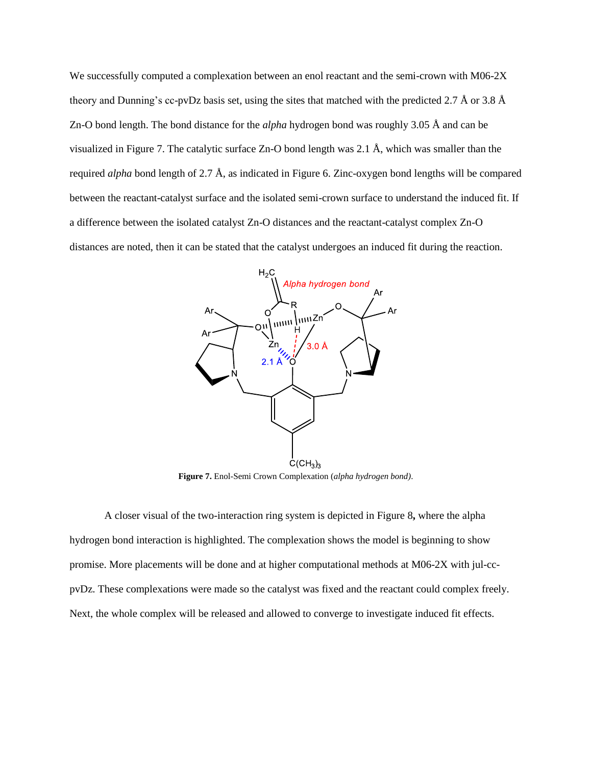We successfully computed a complexation between an enol reactant and the semi-crown with M06-2X theory and Dunning's cc-pvDz basis set, using the sites that matched with the predicted 2.7 Å or 3.8 Å Zn-O bond length. The bond distance for the *alpha* hydrogen bond was roughly 3.05 Å and can be visualized in Figure 7. The catalytic surface Zn-O bond length was 2.1 Å, which was smaller than the required *alpha* bond length of 2.7 Å, as indicated in Figure 6. Zinc-oxygen bond lengths will be compared between the reactant-catalyst surface and the isolated semi-crown surface to understand the induced fit. If a difference between the isolated catalyst Zn-O distances and the reactant-catalyst complex Zn-O distances are noted, then it can be stated that the catalyst undergoes an induced fit during the reaction.



**Figure 7.** Enol-Semi Crown Complexation (*alpha hydrogen bond)*.

A closer visual of the two-interaction ring system is depicted in Figure 8**,** where the alpha hydrogen bond interaction is highlighted. The complexation shows the model is beginning to show promise. More placements will be done and at higher computational methods at M06-2X with jul-ccpvDz. These complexations were made so the catalyst was fixed and the reactant could complex freely. Next, the whole complex will be released and allowed to converge to investigate induced fit effects.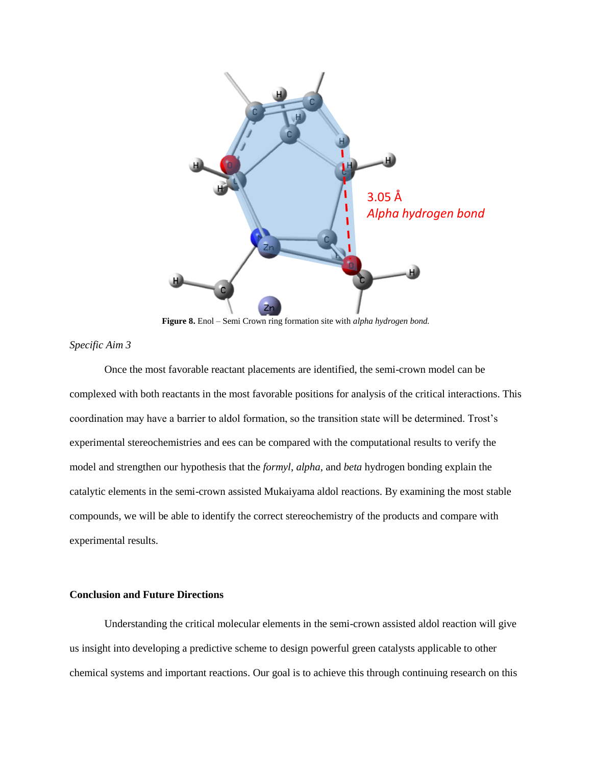

**Figure 8.** Enol – Semi Crown ring formation site with *alpha hydrogen bond.*

#### *Specific Aim 3*

Once the most favorable reactant placements are identified, the semi-crown model can be complexed with both reactants in the most favorable positions for analysis of the critical interactions. This coordination may have a barrier to aldol formation, so the transition state will be determined. Trost's experimental stereochemistries and ees can be compared with the computational results to verify the model and strengthen our hypothesis that the *formyl*, *alpha,* and *beta* hydrogen bonding explain the catalytic elements in the semi-crown assisted Mukaiyama aldol reactions. By examining the most stable compounds, we will be able to identify the correct stereochemistry of the products and compare with experimental results.

#### **Conclusion and Future Directions**

Understanding the critical molecular elements in the semi-crown assisted aldol reaction will give us insight into developing a predictive scheme to design powerful green catalysts applicable to other chemical systems and important reactions. Our goal is to achieve this through continuing research on this